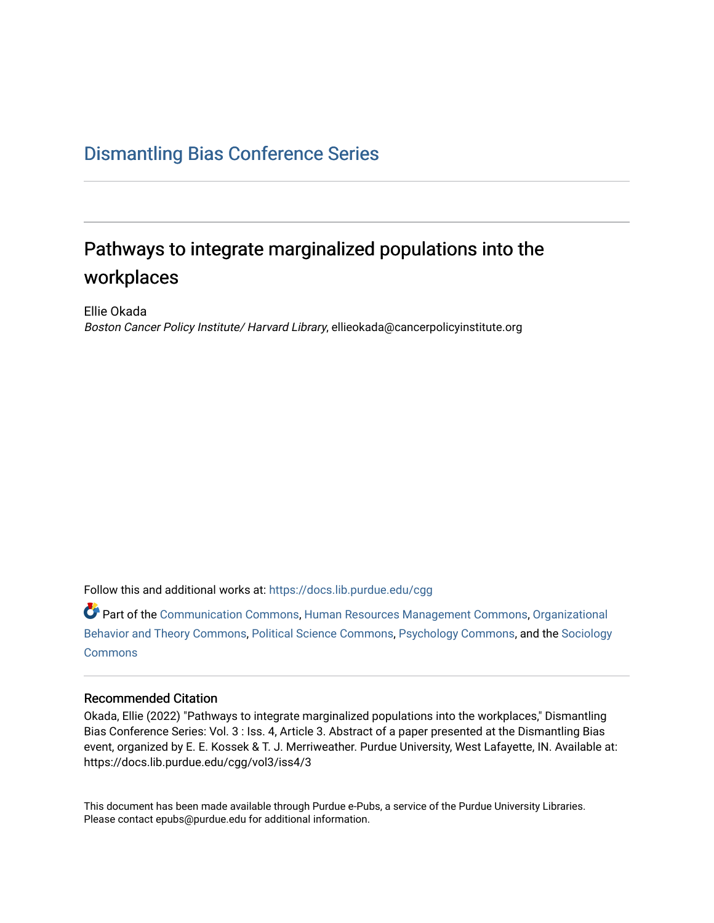## [Dismantling Bias Conference Series](https://docs.lib.purdue.edu/cgg)

# Pathways to integrate marginalized populations into the workplaces

Ellie Okada Boston Cancer Policy Institute/ Harvard Library, ellieokada@cancerpolicyinstitute.org

Follow this and additional works at: [https://docs.lib.purdue.edu/cgg](https://docs.lib.purdue.edu/cgg?utm_source=docs.lib.purdue.edu%2Fcgg%2Fvol3%2Fiss4%2F3&utm_medium=PDF&utm_campaign=PDFCoverPages)

Part of the [Communication Commons,](https://network.bepress.com/hgg/discipline/325?utm_source=docs.lib.purdue.edu%2Fcgg%2Fvol3%2Fiss4%2F3&utm_medium=PDF&utm_campaign=PDFCoverPages) [Human Resources Management Commons,](https://network.bepress.com/hgg/discipline/633?utm_source=docs.lib.purdue.edu%2Fcgg%2Fvol3%2Fiss4%2F3&utm_medium=PDF&utm_campaign=PDFCoverPages) [Organizational](https://network.bepress.com/hgg/discipline/639?utm_source=docs.lib.purdue.edu%2Fcgg%2Fvol3%2Fiss4%2F3&utm_medium=PDF&utm_campaign=PDFCoverPages) [Behavior and Theory Commons,](https://network.bepress.com/hgg/discipline/639?utm_source=docs.lib.purdue.edu%2Fcgg%2Fvol3%2Fiss4%2F3&utm_medium=PDF&utm_campaign=PDFCoverPages) [Political Science Commons,](https://network.bepress.com/hgg/discipline/386?utm_source=docs.lib.purdue.edu%2Fcgg%2Fvol3%2Fiss4%2F3&utm_medium=PDF&utm_campaign=PDFCoverPages) [Psychology Commons,](https://network.bepress.com/hgg/discipline/404?utm_source=docs.lib.purdue.edu%2Fcgg%2Fvol3%2Fiss4%2F3&utm_medium=PDF&utm_campaign=PDFCoverPages) and the [Sociology](https://network.bepress.com/hgg/discipline/416?utm_source=docs.lib.purdue.edu%2Fcgg%2Fvol3%2Fiss4%2F3&utm_medium=PDF&utm_campaign=PDFCoverPages) [Commons](https://network.bepress.com/hgg/discipline/416?utm_source=docs.lib.purdue.edu%2Fcgg%2Fvol3%2Fiss4%2F3&utm_medium=PDF&utm_campaign=PDFCoverPages)

#### Recommended Citation

Okada, Ellie (2022) "Pathways to integrate marginalized populations into the workplaces," Dismantling Bias Conference Series: Vol. 3 : Iss. 4, Article 3. Abstract of a paper presented at the Dismantling Bias event, organized by E. E. Kossek & T. J. Merriweather. Purdue University, West Lafayette, IN. Available at: https://docs.lib.purdue.edu/cgg/vol3/iss4/3

This document has been made available through Purdue e-Pubs, a service of the Purdue University Libraries. Please contact epubs@purdue.edu for additional information.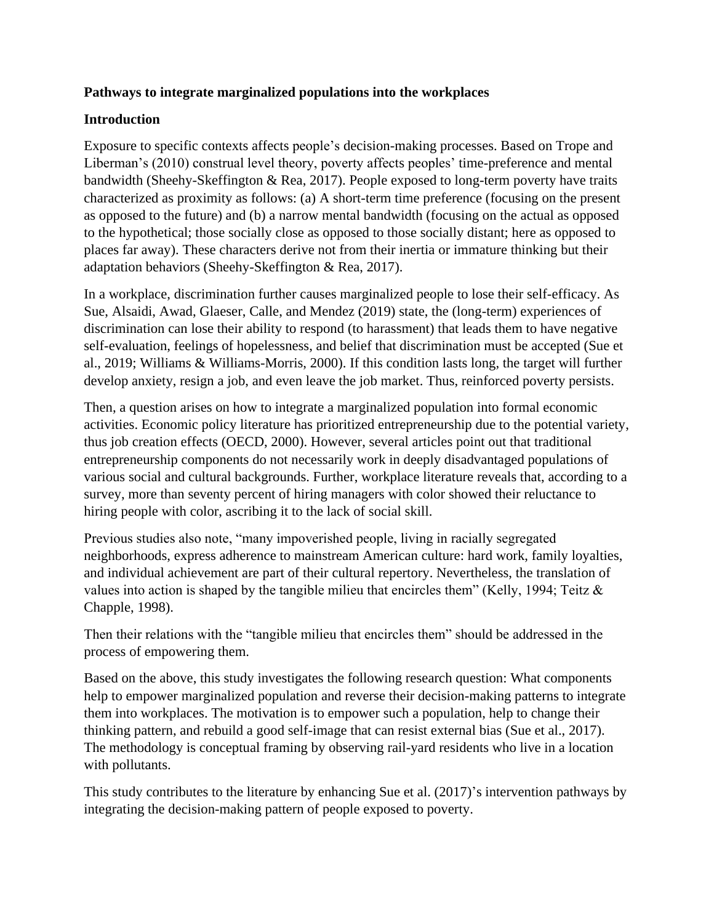#### **Pathways to integrate marginalized populations into the workplaces**

#### **Introduction**

Exposure to specific contexts affects people's decision-making processes. Based on Trope and Liberman's (2010) construal level theory, poverty affects peoples' time-preference and mental bandwidth (Sheehy-Skeffington & Rea, 2017). People exposed to long-term poverty have traits characterized as proximity as follows: (a) A short-term time preference (focusing on the present as opposed to the future) and (b) a narrow mental bandwidth (focusing on the actual as opposed to the hypothetical; those socially close as opposed to those socially distant; here as opposed to places far away). These characters derive not from their inertia or immature thinking but their adaptation behaviors (Sheehy-Skeffington & Rea, 2017).

In a workplace, discrimination further causes marginalized people to lose their self-efficacy. As Sue, Alsaidi, Awad, Glaeser, Calle, and Mendez (2019) state, the (long-term) experiences of discrimination can lose their ability to respond (to harassment) that leads them to have negative self-evaluation, feelings of hopelessness, and belief that discrimination must be accepted (Sue et al., 2019; Williams & Williams-Morris, 2000). If this condition lasts long, the target will further develop anxiety, resign a job, and even leave the job market. Thus, reinforced poverty persists.

Then, a question arises on how to integrate a marginalized population into formal economic activities. Economic policy literature has prioritized entrepreneurship due to the potential variety, thus job creation effects (OECD, 2000). However, several articles point out that traditional entrepreneurship components do not necessarily work in deeply disadvantaged populations of various social and cultural backgrounds. Further, workplace literature reveals that, according to a survey, more than seventy percent of hiring managers with color showed their reluctance to hiring people with color, ascribing it to the lack of social skill.

Previous studies also note, "many impoverished people, living in racially segregated neighborhoods, express adherence to mainstream American culture: hard work, family loyalties, and individual achievement are part of their cultural repertory. Nevertheless, the translation of values into action is shaped by the tangible milieu that encircles them" (Kelly, 1994; Teitz  $\&$ Chapple, 1998).

Then their relations with the "tangible milieu that encircles them" should be addressed in the process of empowering them.

Based on the above, this study investigates the following research question: What components help to empower marginalized population and reverse their decision-making patterns to integrate them into workplaces. The motivation is to empower such a population, help to change their thinking pattern, and rebuild a good self-image that can resist external bias (Sue et al., 2017). The methodology is conceptual framing by observing rail-yard residents who live in a location with pollutants.

 integrating the decision-making pattern of people exposed to poverty. This study contributes to the literature by enhancing Sue et al. (2017)'s intervention pathways by